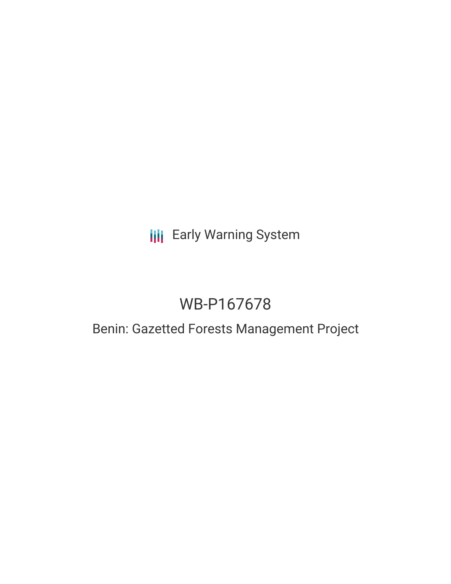## **III** Early Warning System

# WB-P167678

### Benin: Gazetted Forests Management Project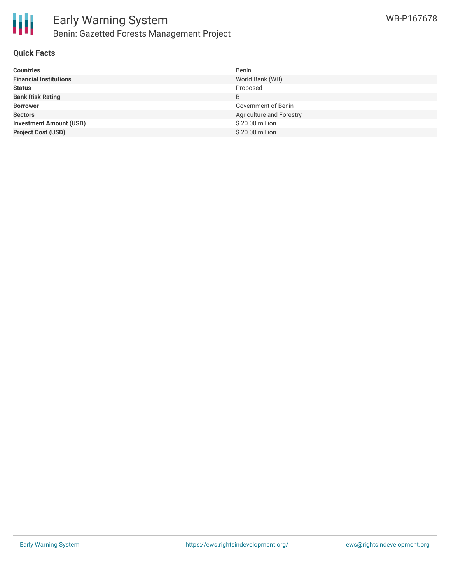

#### **Quick Facts**

| <b>Countries</b>               | Benin                    |
|--------------------------------|--------------------------|
| <b>Financial Institutions</b>  | World Bank (WB)          |
| <b>Status</b>                  | Proposed                 |
| <b>Bank Risk Rating</b>        | B                        |
| <b>Borrower</b>                | Government of Benin      |
| <b>Sectors</b>                 | Agriculture and Forestry |
| <b>Investment Amount (USD)</b> | \$20.00 million          |
| <b>Project Cost (USD)</b>      | \$20.00 million          |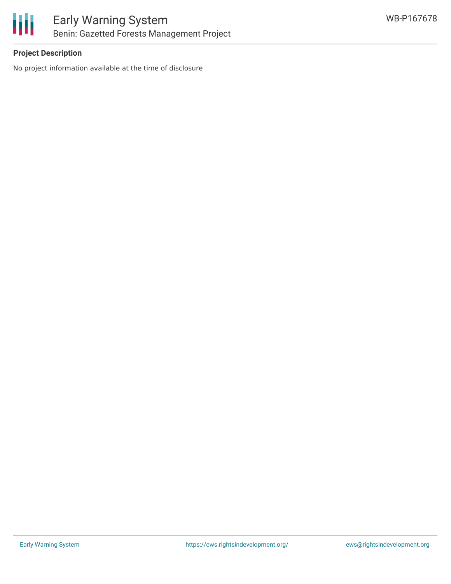

#### **Project Description**

No project information available at the time of disclosure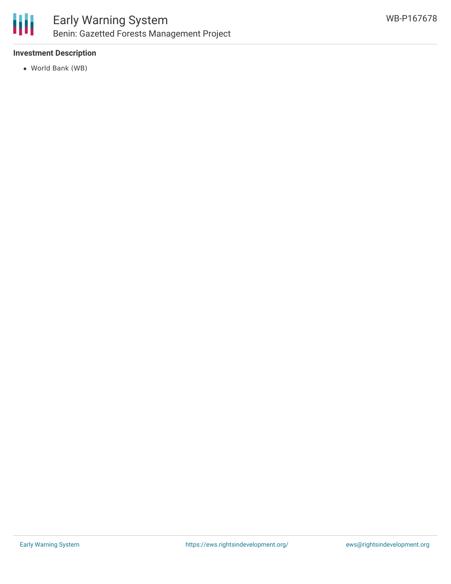

### Early Warning System Benin: Gazetted Forests Management Project

#### **Investment Description**

World Bank (WB)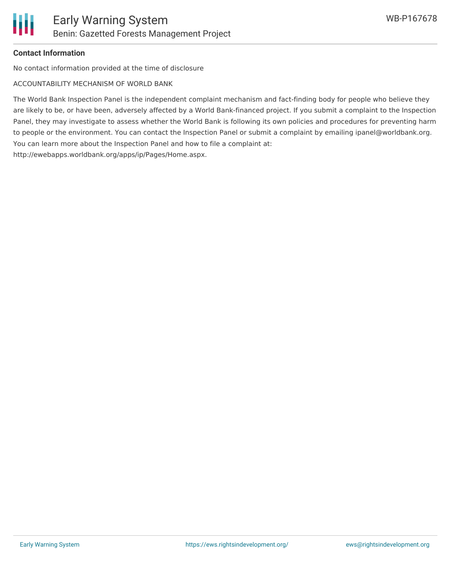#### **Contact Information**

No contact information provided at the time of disclosure

ACCOUNTABILITY MECHANISM OF WORLD BANK

The World Bank Inspection Panel is the independent complaint mechanism and fact-finding body for people who believe they are likely to be, or have been, adversely affected by a World Bank-financed project. If you submit a complaint to the Inspection Panel, they may investigate to assess whether the World Bank is following its own policies and procedures for preventing harm to people or the environment. You can contact the Inspection Panel or submit a complaint by emailing ipanel@worldbank.org. You can learn more about the Inspection Panel and how to file a complaint at: http://ewebapps.worldbank.org/apps/ip/Pages/Home.aspx.